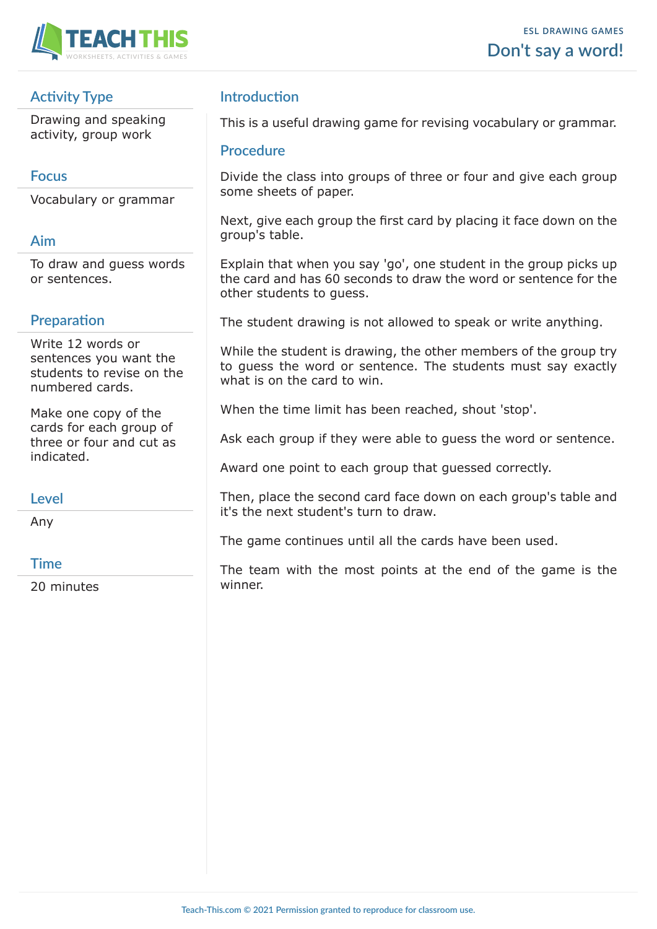

# **Activity Type**

Drawing and speaking activity, group work

### **Focus**

Vocabulary or grammar

### **Aim**

To draw and guess words or sentences.

# **Preparation**

Write 12 words or sentences you want the students to revise on the numbered cards.

Make one copy of the cards for each group of three or four and cut as indicated.

#### **Level**

Any

#### **Time**

20 minutes

# **Introduction**

This is a useful drawing game for revising vocabulary or grammar.

#### **Procedure**

Divide the class into groups of three or four and give each group some sheets of paper.

Next, give each group the first card by placing it face down on the group's table.

Explain that when you say 'go', one student in the group picks up the card and has 60 seconds to draw the word or sentence for the other students to guess.

The student drawing is not allowed to speak or write anything.

While the student is drawing, the other members of the group try to guess the word or sentence. The students must say exactly what is on the card to win.

When the time limit has been reached, shout 'stop'.

Ask each group if they were able to guess the word or sentence.

Award one point to each group that guessed correctly.

Then, place the second card face down on each group's table and it's the next student's turn to draw.

The game continues until all the cards have been used.

The team with the most points at the end of the game is the winner.